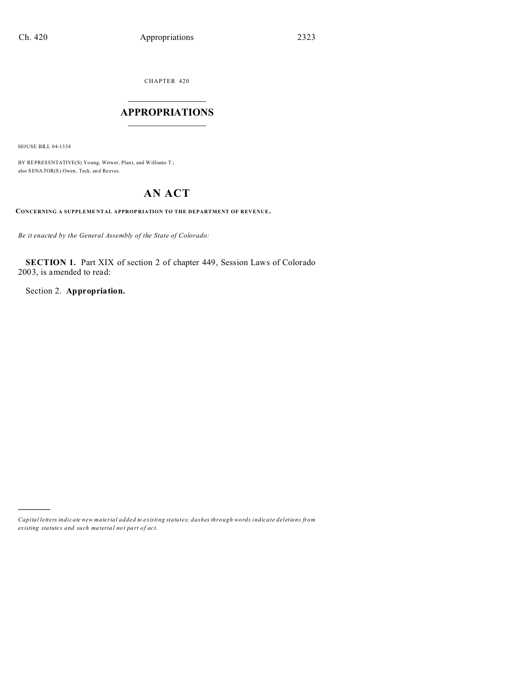CHAPTER 420  $\overline{\phantom{a}}$  , where  $\overline{\phantom{a}}$ 

# **APPROPRIATIONS**  $\_$   $\_$   $\_$   $\_$   $\_$   $\_$   $\_$   $\_$

HOUSE BILL 04-1334

)))))

BY REPRESENTATIVE(S) Yo ung, Witwer, Plant, and Williams T.; also SENATOR(S) Owen, Teck, an d Reeves.

# **AN ACT**

**CONCERNING A SUPPLEME NTAL APPROP RIATION TO THE DEPARTMENT OF REVENUE.**

*Be it enacted by the General Assembly of the State of Colorado:*

**SECTION 1.** Part XIX of section 2 of chapter 449, Session Laws of Colorado 2003, is amended to read:

Section 2. **Appropriation.**

*Capital letters indicate new material added to existing statutes; dashes through words indicate deletions from ex isting statute s and such ma teria l no t pa rt of ac t.*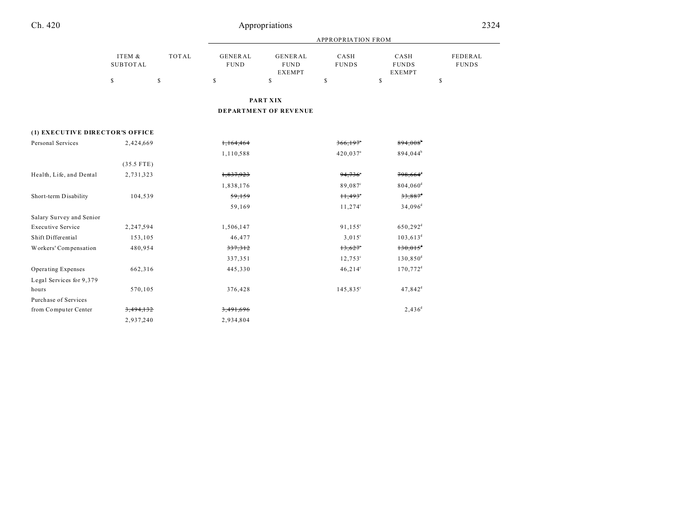| 1 |
|---|
|   |

# Appropriations 2324

|                                 |                           |               |                               |                                                | <b>APPROPRIATION FROM</b> |                                       |                         |
|---------------------------------|---------------------------|---------------|-------------------------------|------------------------------------------------|---------------------------|---------------------------------------|-------------------------|
|                                 | ITEM &<br><b>SUBTOTAL</b> | <b>TOTAL</b>  | <b>GENERAL</b><br><b>FUND</b> | <b>GENERAL</b><br><b>FUND</b><br><b>EXEMPT</b> | CASH<br><b>FUNDS</b>      | CASH<br><b>FUNDS</b><br><b>EXEMPT</b> | FEDERAL<br><b>FUNDS</b> |
|                                 | \$                        | <sup>\$</sup> | \$                            | \$                                             | \$                        | $\mathbb S$                           | \$                      |
|                                 |                           |               |                               | <b>PART XIX</b>                                |                           |                                       |                         |
|                                 |                           |               |                               | <b>DEPARTMENT OF REVENUE</b>                   |                           |                                       |                         |
| (1) EXECUTIVE DIRECTOR'S OFFICE |                           |               |                               |                                                |                           |                                       |                         |
| Personal Services               | 2,424,669                 |               | 1,164,464                     |                                                | $366,197$ <sup>*</sup>    | 894,008 <sup>b</sup>                  |                         |
|                                 |                           |               | 1,110,588                     |                                                | 420,037 <sup>a</sup>      | 894,044 <sup>b</sup>                  |                         |
|                                 | $(35.5$ FTE)              |               |                               |                                                |                           |                                       |                         |
| Health, Life, and Dental        | 2,731,323                 |               | 1,837,923                     |                                                | 94,736                    | $798,664$ <sup>d</sup>                |                         |
|                                 |                           |               | 1,838,176                     |                                                | 89,087°                   | 804,060 <sup>d</sup>                  |                         |
| Short-term Disability           | 104,539                   |               | 59,159                        |                                                | $H,493^\circ$             | $33,887$ <sup>d</sup>                 |                         |
|                                 |                           |               | 59,169                        |                                                | $11,274^{\circ}$          | 34,096 <sup>d</sup>                   |                         |
| Salary Survey and Senior        |                           |               |                               |                                                |                           |                                       |                         |
| <b>Executive Service</b>        | 2,247,594                 |               | 1,506,147                     |                                                | $91,155^{\circ}$          | 650,292 <sup>d</sup>                  |                         |
| Shift Differential              | 153,105                   |               | 46,477                        |                                                | $3,015^{\circ}$           | $103,613^d$                           |                         |
| Workers' Compensation           | 480,954                   |               | 337,312                       |                                                | $13,627$ °                | $130,015$ <sup>d</sup>                |                         |
|                                 |                           |               | 337,351                       |                                                | $12,753^{\circ}$          | $130,850^{\rm d}$                     |                         |
| Operating Expenses              | 662,316                   |               | 445,330                       |                                                | $46,214^{\circ}$          | 170,772 <sup>d</sup>                  |                         |
| Legal Services for 9,379        |                           |               |                               |                                                |                           |                                       |                         |
| hours                           | 570,105                   |               | 376,428                       |                                                | $145,835^{\circ}$         | $47,842$ <sup>d</sup>                 |                         |
| Purchase of Services            |                           |               |                               |                                                |                           |                                       |                         |
| from Computer Center            | 3,494,132                 |               | 3,491,696                     |                                                |                           | $2,436^d$                             |                         |
|                                 | 2,937,240                 |               | 2,934,804                     |                                                |                           |                                       |                         |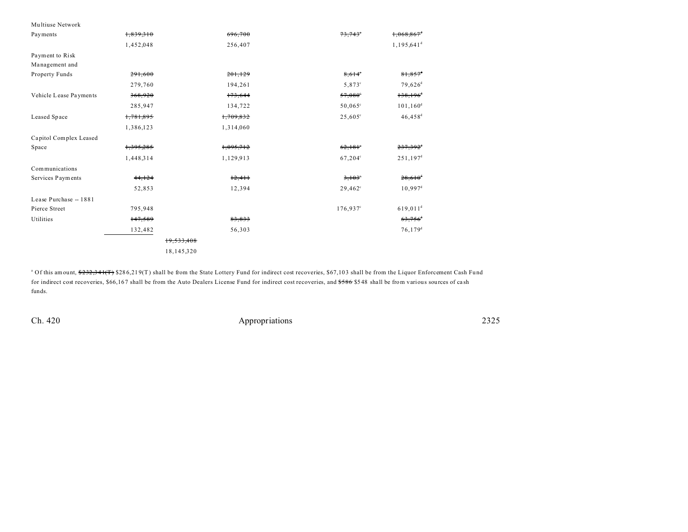| Multiuse Network       |           |              |                   |                          |
|------------------------|-----------|--------------|-------------------|--------------------------|
| Payments               | 1,839,310 | 696,700      | 73,743            | 1,068,863                |
|                        | 1,452,048 | 256,407      |                   | $1,195,641$ <sup>d</sup> |
| Payment to Risk        |           |              |                   |                          |
| Management and         |           |              |                   |                          |
| Property Funds         | 291,600   | 201,129      | 8,614°            | $81,857$ <sup>d</sup>    |
|                        | 279,760   | 194,261      | 5,873°            | $79,626$ <sup>d</sup>    |
| Vehicle Lease Payments | 368,920   | 173,644      | $57,080^\circ$    | $138,196$ <sup>4</sup>   |
|                        | 285,947   | 134,722      | $50,065^{\circ}$  | $101, 160^d$             |
| Leased Space           | 1,781,895 | 1,709,832    | $25,605^{\circ}$  | $46,458$ <sup>d</sup>    |
|                        | 1,386,123 | 1,314,060    |                   |                          |
| Capitol Complex Leased |           |              |                   |                          |
| Space                  | 1,395,285 | 1,095,712    | 62,181            | $237,392$ <sup>d</sup>   |
|                        | 1,448,314 | 1,129,913    | $67,204^{\circ}$  | $251,197^{\rm d}$        |
| Communications         |           |              |                   |                          |
| Services Payments      | 44, 124   | 12,411       | 3,103             | $28,610^{d}$             |
|                        | 52,853    | 12,394       | $29,462^{\circ}$  | $10,997^{\rm d}$         |
| Lease Purchase -- 1881 |           |              |                   |                          |
| Pierce Street          | 795,948   |              | $176,937^{\circ}$ | $619,011^d$              |
| Utilities              | 147,589   | 83,833       |                   | $63,756$ <sup>d</sup>    |
|                        | 132,482   | 56,303       |                   | $76, 179$ <sup>d</sup>   |
|                        |           | 19,533,408   |                   |                          |
|                        |           | 18, 145, 320 |                   |                          |

<sup>a</sup> Of this amount, \$232,341(T) \$286,219(T) shall be from the State Lottery Fund for indirect cost recoveries, \$67,103 shall be from the Liquor Enforcement Cash Fund for indirect cost recoveries, \$66,167 shall be from the Auto Dealers License Fund for indirect cost recoveries, and \$586 \$548 shall be from various sources of cash funds.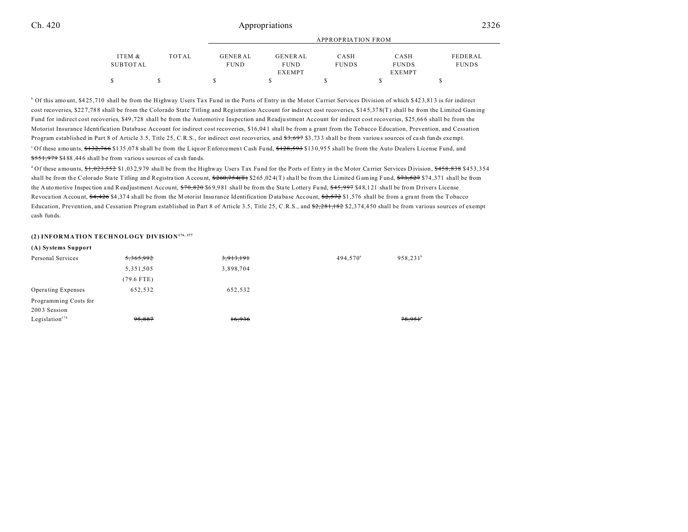|          |       |             |               | <b>APPROPRIATION FROM</b> |               |              |
|----------|-------|-------------|---------------|---------------------------|---------------|--------------|
| ITEM &   | TOTAL | GENERAL     | GENERAL       | CASH                      | CASH          | FEDERAL      |
| SUBTOTAL |       | <b>FUND</b> | <b>FUND</b>   | <b>FUNDS</b>              | <b>FUNDS</b>  | <b>FUNDS</b> |
|          |       |             | <b>EXEMPT</b> |                           | <b>EXEMPT</b> |              |
|          |       |             |               |                           |               |              |

<sup>b</sup> Of this amount, \$425,710 shall be from the Highway Users Tax Fund in the Ports of Entry in the Motor Carrier Services Division of which \$423,813 is for indirect cost recoveries, \$22 7,78 8 shall be from the Colorado State Titling and Registration Account for indirect cost recoveries, \$14 5,37 8(T) shall be from the Limited Gaming Fund for indirect cost recoveries, \$49 ,728 shall be from the Automotive Inspection and Readju stment Account for indirect cost recoveries, \$25,66 6 shall be from the Motorist Insurance Identification Database Account for indirect cost recoveries, \$16,04 1 shall be from a grant from the Tobacco Education, Prevention, and Cessation Program established in Part 8 of Article 3.5, Title 25, C.R.S., for indirect cost recoveries, and  $\frac{27}{57}$ ,  $\frac{27}{37}$ ,  $\frac{27}{37}$  and a be from various sources of cash funds exempt.  $^{\circ}$  Of these amounts,  $\frac{$132,766}{$135,078$$  shall be from the Liquor Enforcement Cash Fund,  $\frac{$128,593}{$130,955$$  shall be from the Auto Dealers License Fund, and \$551,979 \$488,446 shall be from various sources of cash funds.

 $d$  Of these amounts,  $f_1, 0.32, 552$  \$1,032,979 shall be from the Highway Users Tax Fund for the Ports of Entry in the Motor Carrier Services Division,  $f_3$  \$458,838 \$453,354 shall be from the Colorado State Titling and Registration Account,  $\frac{$260,754(T)}{265,024(T)}$  shall be from the Limited Gaming Fund,  $\frac{$73,527}{27,527}$  \$74,371 shall be from the Automotive Inspection and Readjustment Account,  $$70,820$  \$69,981 shall be from the State Lottery Fund,  $$45,997$  \$48,121 shall be from D rivers License Revocation Account,  $\frac{64,426}{4,374}$  shall be from the M otorist Insurance Identification D ata base Account,  $\frac{62,572}{1,576}$  shall be from a grant from the Tobacco Education, Prevention, and Cessation Program established in Part 8 of Article 3.5, Title 25, C.R.S., and  $\frac{22.281,182}{22.374,450}$  shall be from various sources of exempt cash funds.

## **(2) INFORMATION TECHNOLOGY DIVISION176, 177**

| <del>5,365,992</del> | 3,913,191 | $494.570^a$ | $958,231^b$ |
|----------------------|-----------|-------------|-------------|
| 5,351,505            | 3,898,704 |             |             |
| $(79.6$ FTE)         |           |             |             |
| 652,532              | 652,532   |             |             |
|                      |           |             |             |
|                      |           |             |             |
| 95,887               | 16,936    |             | 78,951      |
|                      |           |             |             |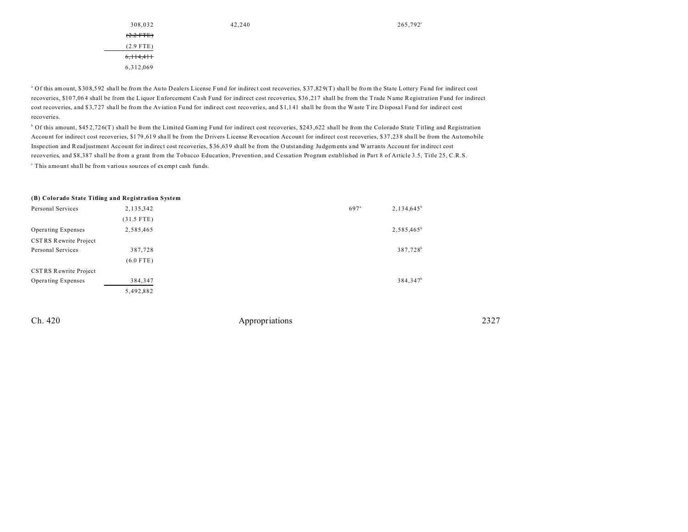| 308,032              |  |
|----------------------|--|
| $(2.2$ FTE)          |  |
| $(2.9$ FTE)          |  |
| <del>6.114.411</del> |  |
| 6.312.069            |  |

<sup>a</sup> Of this amount, \$308,592 shall be from the Auto Dealers License Fund for indirect cost recoveries, \$37,829(T) shall be from the State Lottery Fund for indirect cost recoveries, \$10 7,06 4 shall be from the Liquor Enforcement Ca sh Fund for indirect cost recoveries, \$36 ,217 shall be from the Trade Name Registration Fund for indirect cost recoveries, and \$3,727 shall be from the Aviation Fund for indirect cost recoveries, and \$1,141 shall be from the Waste Tire Disposal Fund for indirect cost recoveries.

<sup>b</sup> Of this amount, \$452,726(T) shall be from the Limited Gaming Fund for indirect cost recoveries, \$243,622 shall be from the Colorado State Titling and Registration Account for indirect cost recoveries, \$179,619 shall be from the Drivers License Revocation Account for indirect cost recoveries, \$37,238 shall be from the Automobile Inspection and Readjustment Account for indirect cost recoveries, \$36 ,63 9 shall be from the O utstanding Judgements and W arr ants Account for indirect cost recoveries, and \$8,387 shall be from a grant from the Tobacco Education, Prevention, and Cessation Program established in Part 8 of Article 3.5, Title 25, C.R.S. c This amount shall be from various sources of exempt cash funds.

#### **(B) Colorado State Titling and Registration System**

| Personal Services     | 2,135,342    | $697^{\circ}$ | $2,134,645^b$          |
|-----------------------|--------------|---------------|------------------------|
|                       | $(31.5$ FTE) |               |                        |
| Operating Expenses    | 2,585,465    |               | 2,585,465 <sup>b</sup> |
| CSTRS Rewrite Project |              |               |                        |
| Personal Services     | 387,728      |               | 387,728 <sup>b</sup>   |
|                       | $(6.0$ FTE)  |               |                        |
| CSTRS Rewrite Project |              |               |                        |
| Operating Expenses    | 384,347      |               | 384,347 <sup>b</sup>   |
|                       | 5,492,882    |               |                        |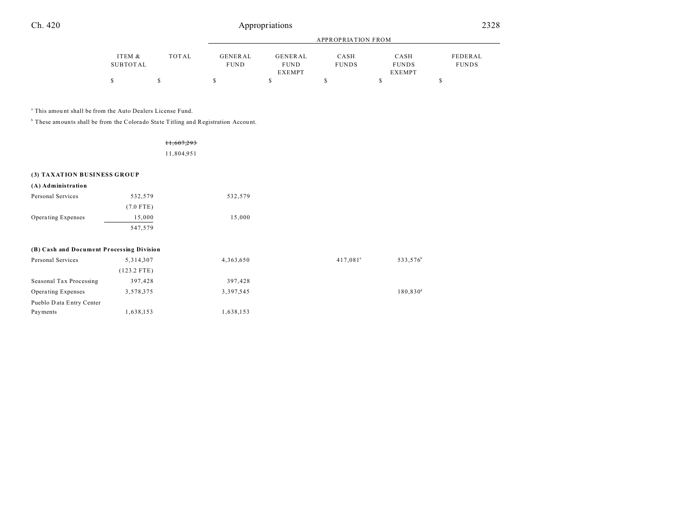| Ch. 420 | Appropriations | 2328<br>____ |
|---------|----------------|--------------|
|         |                |              |

|                 |       |             |               | APPROPRIATION FROM |               |              |
|-----------------|-------|-------------|---------------|--------------------|---------------|--------------|
| ITEM &          | TOTAL | GENERAL     | GENERAL       | CASH               | CASH          | FEDERAL      |
| <b>SUBTOTAL</b> |       | <b>FUND</b> | <b>FUND</b>   | <b>FUNDS</b>       | <b>FUNDS</b>  | <b>FUNDS</b> |
|                 |       |             | <b>EXEMPT</b> |                    | <b>EXEMPT</b> |              |
| S               |       |             |               |                    |               |              |

a This amou nt shall be from the Auto Dealers License Fund.

<sup>b</sup> These amounts shall be from the Colorado State Titling and Registration Account.

Payments 1,638,153 1,638,153

|                                           |               | <del>11,607,293</del> |                      |                      |
|-------------------------------------------|---------------|-----------------------|----------------------|----------------------|
|                                           |               | 11,804,951            |                      |                      |
|                                           |               |                       |                      |                      |
| (3) TAXATION BUSINESS GROUP               |               |                       |                      |                      |
| (A) Administration                        |               |                       |                      |                      |
| Personal Services                         | 532,579       | 532,579               |                      |                      |
|                                           | $(7.0$ FTE)   |                       |                      |                      |
| Operating Expenses                        | 15,000        | 15,000                |                      |                      |
|                                           | 547,579       |                       |                      |                      |
| (B) Cash and Document Processing Division |               |                       |                      |                      |
| Personal Services                         | 5,314,307     | 4,363,650             | 417,081 <sup>a</sup> | 533,576 <sup>b</sup> |
|                                           | $(123.2$ FTE) |                       |                      |                      |
| Seasonal Tax Processing                   | 397,428       | 397,428               |                      |                      |
| Operating Expenses                        | 3,578,375     | 3,397,545             |                      | 180,830 <sup>d</sup> |

Pueblo D ata Entry Center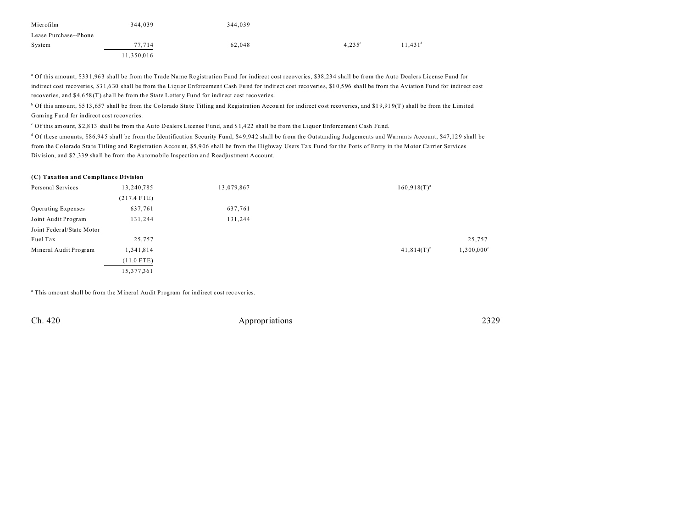| Microfilm             | 344.039    | 344.039 |                 |                     |
|-----------------------|------------|---------|-----------------|---------------------|
| Lease Purchase--Phone |            |         |                 |                     |
| System                | 77.714     | 62.048  | $4.235^{\circ}$ | 11.431 <sup>d</sup> |
|                       | 11,350,016 |         |                 |                     |

<sup>a</sup> Of this amount, \$33 1,963 shall be from the Trade Name Registration Fund for indirect cost recoveries, \$38,234 shall be from the Auto Dealers License Fund for indirect cost recoveries, \$3 1,6 30 shall be from the Liquor Enforcement Cash Fu nd for indirect cost recoveries, \$1 0,5 96 shall be from the Aviation Fu nd for indirect cost recoveries, and \$4,658(T) shall be from the State Lottery Fund for indirect cost recoveries.

<sup>b</sup> Of this amount, \$5 13,657 shall be from the Colorado State Titling and Registration Account for indirect cost recoveries, and \$19,919(T) shall be from the Limited Gaming Fund for indirect cost recoveries.

<sup>c</sup> Of this amount, \$2,813 shall be from the Auto Dealers License Fund, and \$1,422 shall be from the Liquor Enforcement Cash Fund.

d Of these amounts, \$86,945 shall be from the Identification Security Fund, \$49,942 shall be from the Outstanding Judgements and Warrants Account, \$47,129 shall be from the Colorado State Titling and Registration Account, \$5,906 shall be from the Highway Users Tax Fund for the Ports of Entry in the Motor Carrier Services Division, and \$2 ,33 9 sha ll be from the Au tomobile Inspection and Readju stment Account.

#### **(C) Taxation and Compliance Division**

| Personal Services         | 13,240,785    | 13,079,867 | $160,918(T)^{a}$                       |
|---------------------------|---------------|------------|----------------------------------------|
|                           | $(217.4$ FTE) |            |                                        |
| Operating Expenses        | 637,761       | 637,761    |                                        |
| Joint Audit Program       | 131,244       | 131,244    |                                        |
| Joint Federal/State Motor |               |            |                                        |
| Fuel Tax                  | 25,757        |            | 25,757                                 |
| Mineral Audit Program     | 1,341,814     |            | $1,300,000^{\circ}$<br>$41,814(T)^{b}$ |
|                           | $(11.0$ FTE)  |            |                                        |
|                           | 15,377,361    |            |                                        |

<sup>a</sup> This amount shall be from the Mineral Audit Program for indirect cost recoveries.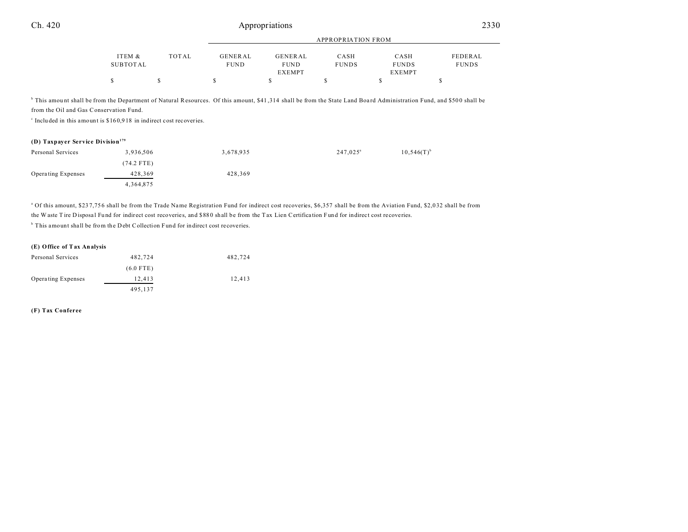|          |       |             |               | APPROPRIATION FROM |               |              |
|----------|-------|-------------|---------------|--------------------|---------------|--------------|
| ITEM &   | TOTAL | GENERAL     | GENERAL       | CASH               | CASH          | FEDERAL      |
| SUBTOTAL |       | <b>FUND</b> | <b>FUND</b>   | <b>FUNDS</b>       | <b>FUNDS</b>  | <b>FUNDS</b> |
|          |       |             | <b>EXEMPT</b> |                    | <b>EXEMPT</b> |              |
|          |       |             |               |                    |               |              |

<sup>b</sup> This amount shall be from the Department of Natural Resources. Of this amount, \$41,314 shall be from the State Land Board Administration Fund, and \$500 shall be from the Oil and Gas Conservation Fund.

c Inclu ded in this amount is \$16 0,9 18 in indirect cost recoveries.

# **(D) Taxpayer Service Division<sup>179</sup>**

| Personal Services  | 3,936,506   | 3,678,935 | $247.025^a$ | $10,546(T)^{b}$ |
|--------------------|-------------|-----------|-------------|-----------------|
|                    | (74.2 FTE)  |           |             |                 |
| Operating Expenses | 428,369     | 428,369   |             |                 |
|                    | 4, 364, 875 |           |             |                 |

<sup>a</sup> Of this amount, \$237,756 shall be from the Trade Name Registration Fund for indirect cost recoveries, \$6,357 shall be from the Aviation Fund, \$2,032 shall be from the W aste T ire D isposal Fund for indirect cost recoveries, and \$880 shall be from the T ax Lien Certification Fund for indirect cost recoveries.

<sup>b</sup> This amount shall be from the Debt Collection Fund for indirect cost recoveries.

#### **(E) Office of Tax Analysis**

| Personal Services  | 482.724     | 482.724 |
|--------------------|-------------|---------|
|                    | $(6.0$ FTE) |         |
| Operating Expenses | 12,413      | 12,413  |
|                    | 495,137     |         |

**(F) Tax Conferee**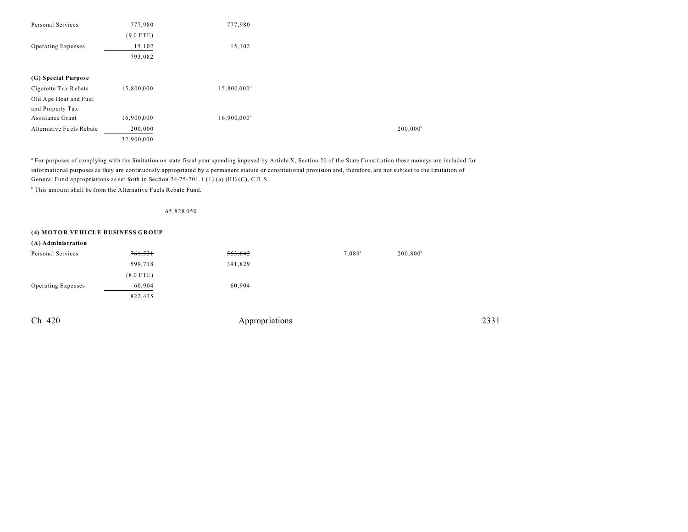| 777,980     | 777,980                 |                        |
|-------------|-------------------------|------------------------|
| $(9.0$ FTE) |                         |                        |
| 15,102      | 15,102                  |                        |
| 793,082     |                         |                        |
|             |                         |                        |
|             |                         |                        |
| 15,800,000  | 15,800,000 <sup>a</sup> |                        |
|             |                         |                        |
|             |                         |                        |
| 16,900,000  | $16,900,000^a$          |                        |
| 200,000     |                         | $200,000$ <sup>t</sup> |
| 32,900,000  |                         |                        |
|             |                         |                        |

a For purposes of complying with the limitation on state fiscal year spending imposed by Article X, Section 20 of the State Constitution these moneys are included for informational purposes as they are continuously appropriated by a permanent statute or constitutional provision and, therefore, are not subject to the limitation of General Fund appropriations as set forth in Section 24-75-201.1 (1) (a) (III) (C), C.R.S.

<sup>b</sup> This amount shall be from the Alternative Fuels Rebate Fund.

65,828,050

## **(4) MOTOR VEHICLE BUSINESS GROUP**

| (A) Administration |             |         |                      |             |
|--------------------|-------------|---------|----------------------|-------------|
| Personal Services  | 761,531     | 553,642 | $7.089$ <sup>a</sup> | $200,800^b$ |
|                    | 599,718     | 391,829 |                      |             |
|                    | $(8.0$ FTE) |         |                      |             |
| Operating Expenses | 60,904      | 60,904  |                      |             |
|                    | 822,435     |         |                      |             |
|                    |             |         |                      |             |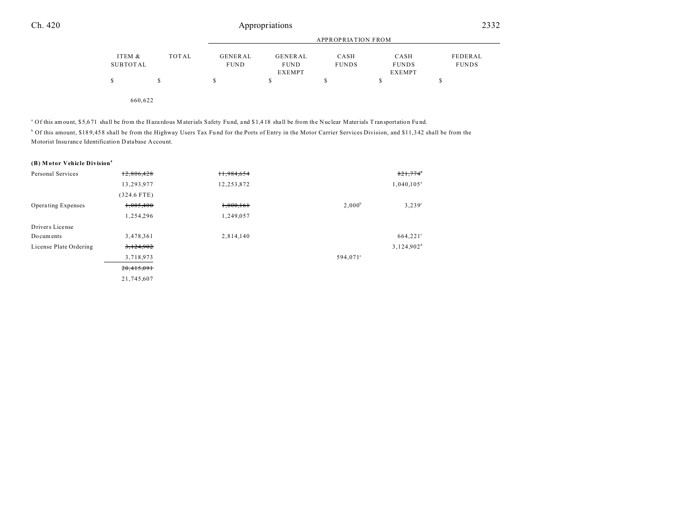|          |         |             |               | APPROPRIATION FROM |              |              |
|----------|---------|-------------|---------------|--------------------|--------------|--------------|
| ITEM &   | TOTAL   | GENERAL     | GENERAL       | CASH               | CASH         | FEDERAL      |
| SUBTOTAL |         | <b>FUND</b> | <b>FUND</b>   | <b>FUNDS</b>       | <b>FUNDS</b> | <b>FUNDS</b> |
|          |         |             | <b>EXEMPT</b> |                    | EXEMPT       |              |
|          | S       | \$          | S             | \$                 | S            | S            |
|          | 660.622 |             |               |                    |              |              |

<sup>a</sup> Of this amount, \$5,671 shall be from the Hazardous Materials Safety Fund, and \$1,418 shall be from the Nuclear Materials Transportation Fund.

<sup>b</sup> Of this amount, \$189,458 shall be from the Highway Users Tax Fund for the Ports of Entry in the Motor Carrier Services Division, and \$11,342 shall be from the Motorist Insu rance Identification Database Account.

#### **(B) M otor Vehicle Division<sup>4</sup>**

| Personal Services      | 12,806,428    | 11,984,654 |                   | 821,774                |
|------------------------|---------------|------------|-------------------|------------------------|
|                        | 13,293,977    | 12,253,872 |                   | $1,040,105^{\circ}$    |
|                        | $(324.6$ FTE) |            |                   |                        |
| Operating Expenses     | 1,005,400     | 1,000,161  | $2,000^b$         | $3,239^{\circ}$        |
|                        | 1,254,296     | 1,249,057  |                   |                        |
| Drivers License        |               |            |                   |                        |
| Documents              | 3,478,361     | 2,814,140  |                   | 664,221°               |
| License Plate Ordering | 3,124,902     |            |                   | 3,124,902 <sup>d</sup> |
|                        | 3,718,973     |            | $594,071^{\circ}$ |                        |
|                        | 20,415,091    |            |                   |                        |
|                        | 21,745,607    |            |                   |                        |
|                        |               |            |                   |                        |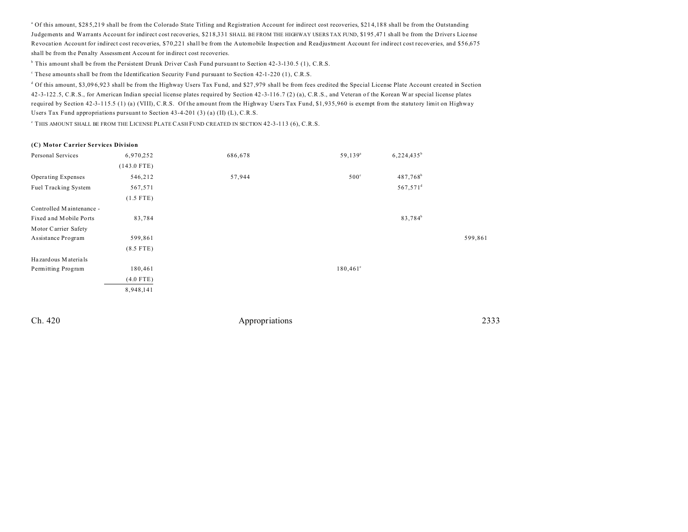<sup>a</sup> Of this amount, \$285,219 shall be from the Colorado State Titling and Registration Account for indirect cost recoveries, \$214,188 shall be from the Outstanding Judgements and Warrants Account for indirect cost recoveries, \$218,331 SHALL BE FROM THE HIGHWAY USERS TAX FUND, \$1 95 ,47 1 shall be from the D rivers License Revocation Account for indirect cost recoveries, \$70,221 shall be from the Automobile Inspection and Readjustment Account for indirect cost recoveries, and \$56,675 shall be from the Penalty Assessment Accou nt for indirect cost recoveries.

b This amount shall be from the Persistent Drunk Driver Cash Fund pursuant to Section 42-3-130.5 (1), C.R.S.

These amounts shall be from the Identification Security Fund pursuant to Section 42-1-220 (1), C.R.S.

<sup>d</sup> Of this amount, \$3,096,923 shall be from the Highway Users Tax Fund, and \$27,979 shall be from fees credited the Special License Plate Account created in Section 42 -3-122 .5, C.R.S., for American Indian special license plates required by Section 42 -3-116 .7 (2) (a), C.R.S., and Veteran of the Korean W ar special license plates required by Section 42-3-115.5 (1) (a) (VIII), C.R.S. Of the amount from the Highway Users Tax Fund, \$1,935,960 is exempt from the statutory limit on Highway Users Tax Fund appropriations pursuant to Section 43-4-201 (3) (a) (II) (L), C.R.S.

e THIS AMOUNT SHALL BE FROM THE LICENSE PLATE CASH FUND CREATED IN SECTION 42-3-113 (6), C.R.S.

| (C) Motor Carrier Services Division |               |         |                   |                        |         |
|-------------------------------------|---------------|---------|-------------------|------------------------|---------|
| Personal Services                   | 6,970,252     | 686,678 | $59,139^a$        | $6,224,435^b$          |         |
|                                     | $(143.0$ FTE) |         |                   |                        |         |
| Operating Expenses                  | 546,212       | 57,944  | $500^{\circ}$     | $487,768^b$            |         |
| Fuel Tracking System                | 567,571       |         |                   | $567,571$ <sup>d</sup> |         |
|                                     | $(1.5$ FTE)   |         |                   |                        |         |
| Controlled Maintenance -            |               |         |                   |                        |         |
| Fixed and Mobile Ports              | 83,784        |         |                   | 83,784 <sup>b</sup>    |         |
| Motor Carrier Safety                |               |         |                   |                        |         |
| Assistance Program                  | 599,861       |         |                   |                        | 599,861 |
|                                     | $(8.5$ FTE)   |         |                   |                        |         |
| Hazardous Materials                 |               |         |                   |                        |         |
| Permitting Program                  | 180,461       |         | $180,461^{\circ}$ |                        |         |
|                                     | $(4.0$ FTE)   |         |                   |                        |         |
|                                     | 8,948,141     |         |                   |                        |         |
|                                     |               |         |                   |                        |         |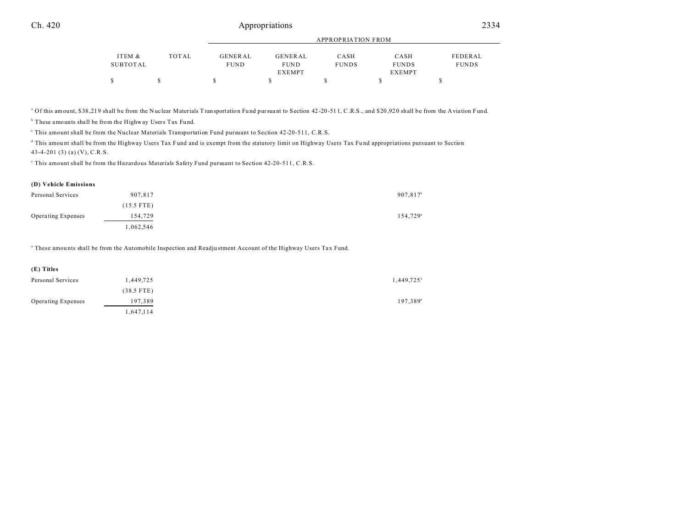|          |       |             |               | APPROPRIATION FROM |               |              |
|----------|-------|-------------|---------------|--------------------|---------------|--------------|
| ITEM &   | TOTAL | GENERAL     | GENERAL       | CASH               | CASH          | FEDERAL      |
| SUBTOTAL |       | <b>FUND</b> | <b>FUND</b>   | <b>FUNDS</b>       | <b>FUNDS</b>  | <b>FUNDS</b> |
|          |       |             | <b>EXEMPT</b> |                    | <b>EXEMPT</b> |              |
| S        |       |             |               |                    |               |              |

<sup>a</sup> Of this amount, \$38,219 shall be from the Nuclear Materials Transportation Fund pursuant to Section 42-20-511, C.R.S., and \$20,920 shall be from the Aviation Fund.

<sup>b</sup> These amounts shall be from the Highway Users Tax Fund.

This amount shall be from the Nuclear Materials Transportation Fund pursuant to Section 42-20-511, C.R.S.

d This amou nt shall be from the Highway Users Tax Fund and is exempt from the statutory limit on Highway Users Tax Fu nd appropriations pursuant to Section 43-4-201 (3) (a) (V), C.R.S.

e This amount shall be from the Hazardous Materials Safety Fund pursuant to Section 42-20-511, C.R.S.

#### **(D) Vehicle Emissions**

| Personal Services  | 907,817      | 907,817 <sup>a</sup> |
|--------------------|--------------|----------------------|
|                    | $(15.5$ FTE) |                      |
| Operating Expenses | 154,729      | 154,729 <sup>a</sup> |
|                    | .062,546     |                      |

a These amou nts shall be from the Automobile Inspection and Readju stment Account of the Highway Users Tax Fund.

| (E) Titles         |              |                          |
|--------------------|--------------|--------------------------|
| Personal Services  | 1,449,725    | $1,449,725$ <sup>a</sup> |
|                    | $(38.5$ FTE) |                          |
| Operating Expenses | 197,389      | $197,389^{\circ}$        |
|                    | 1,647,114    |                          |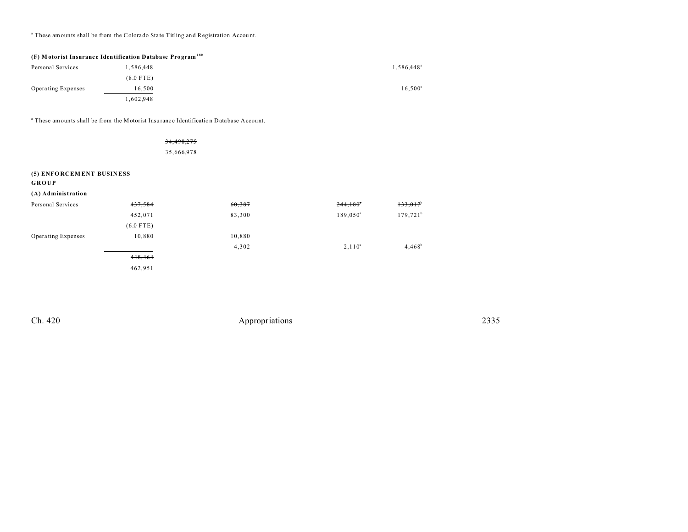<sup>a</sup> These amounts shall be from the Colorado State Titling and Registration Account.

| (F) Motorist Insurance Identification Database Program <sup>180</sup> |             |                        |  |  |
|-----------------------------------------------------------------------|-------------|------------------------|--|--|
| Personal Services                                                     | 1.586.448   | 1,586,448 <sup>a</sup> |  |  |
|                                                                       | $(8.0$ FTE) |                        |  |  |
| <b>Operating Expenses</b>                                             | 16.500      | $16.500^{\circ}$       |  |  |
|                                                                       | 1.602.948   |                        |  |  |

<sup>a</sup> These amounts shall be from the Motorist Insurance Identification Database Account.

| 34,498,275 |
|------------|
| 35,666,978 |

#### **(5) ENFO RCEM ENT BUSIN ESS**

**GROUP**

|  |  |  | (A) Administration |
|--|--|--|--------------------|
|--|--|--|--------------------|

| Personal Services  | 437,584     | 60,387 | 244,180     | 133,017     |
|--------------------|-------------|--------|-------------|-------------|
|                    | 452,071     | 83,300 | $189,050^a$ | $179,721^b$ |
|                    | $(6.0$ FTE) |        |             |             |
| Operating Expenses | 10,880      | 10,880 |             |             |
|                    |             | 4,302  | $2,110^a$   | $4,468^b$   |
|                    | 448,464     |        |             |             |
|                    | 462,951     |        |             |             |
|                    |             |        |             |             |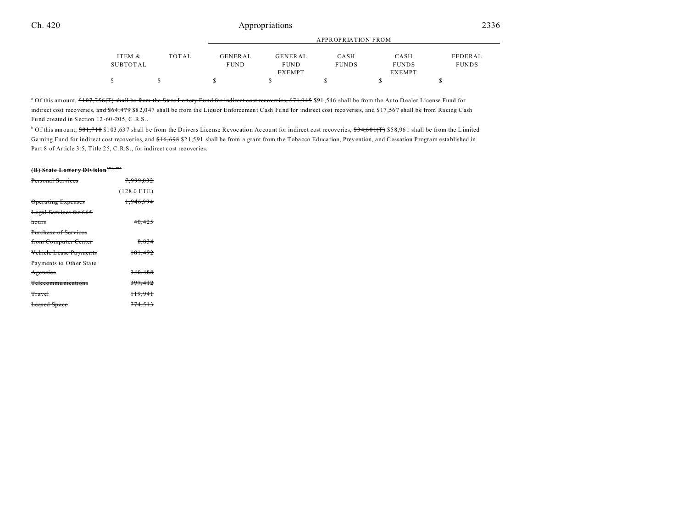|          |       |                |               | APPROPRIATION FROM |               |              |
|----------|-------|----------------|---------------|--------------------|---------------|--------------|
| ITEM &   | TOTAL | <b>GENERAL</b> | GENERAL       | CASH               | CASH          | FEDERAL      |
| SUBTOTAL |       | <b>FUND</b>    | <b>FUND</b>   | <b>FUNDS</b>       | <b>FUNDS</b>  | <b>FUNDS</b> |
|          |       |                | <b>EXEMPT</b> |                    | <b>EXEMPT</b> |              |
| S        |       |                |               |                    |               |              |

<sup>a</sup> Of this amount, <del>\$107,756(T) shall be from the State Lottery Fund for indirect cost recoveries, \$71,945 \$91,546 shall be from the Auto Dealer License Fund for</del> indirect cost recoveries, and \$64,479 \$82,047 shall be from the Liquor Enforcement Cash Fund for indirect cost recoveries, and \$17,567 shall be from Racing Cash Fund created in Section 12-60-205, C.R.S..

<sup>b</sup> Of this amount, <del>\$81,718</del> \$103,637 shall be from the Drivers License Revocation Account for indirect cost recoveries, <del>\$34,601(T)</del> \$58,961 shall be from the Limited Gaming Fund for indirect cost recoveries, and \$16,698 \$21,591 shall be from a grant from the Tobacco Education, Prevention, and Cessation Program established in Part 8 of Article 3.5, Title 25, C.R.S., for indirect cost recoveries.

## **(B) State Lottery Division181, 182**

| Personal Services           | <del>7.999.032</del> |  |
|-----------------------------|----------------------|--|
|                             | $(128.0$ FTE)        |  |
| <b>Operating Expenses</b>   | 1.946.994            |  |
| Legal Services for 665      |                      |  |
| hours                       | 40,425               |  |
| <b>Purchase of Services</b> |                      |  |
| from Computer Center        | 8.834                |  |
| Vehiele Lease Payments      | 181,492              |  |
| Payments to Other State     |                      |  |
| Agencies                    | 340.488              |  |
| <b>Telecommunications</b>   | 397,412              |  |
| <b>Travel</b>               | <sup>119.941</sup>   |  |
| <b>Leased Space</b>         | <del>774.513</del>   |  |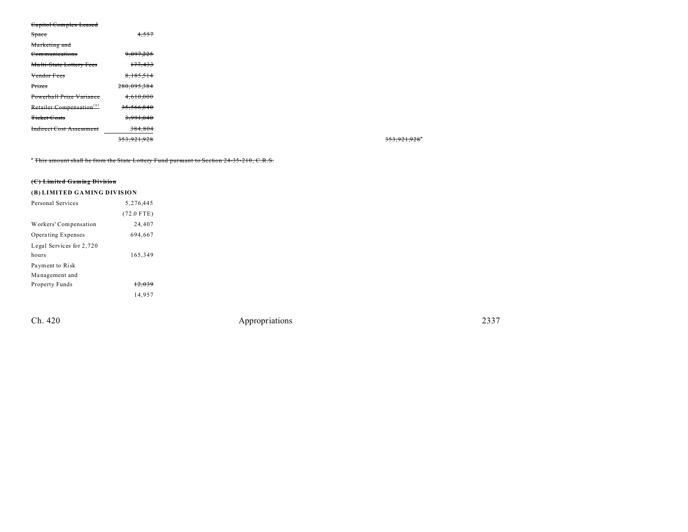#### Capitol Complex Leased

| Space                                | $+, 557$      |
|--------------------------------------|---------------|
| Marketing and                        |               |
| Communications                       | 9,097,225     |
| Multi-State Lottery Fees             | 177,433       |
| Vendor Fees                          | 8,185,514     |
| Prizes                               | 280,095,384   |
| Powerball Prize Variance             | 4,610,000     |
| Retailer Compensation <sup>183</sup> | 35,566,840    |
| <b>Ticket Costs</b>                  | 3,991,040     |
| <b>Indirect Cost Assessment</b>      | 384,804       |
|                                      | 353, 921, 928 |

<sup>\*</sup> This amount shall be from the State Lottery Fund pursuant to Section 24-35-210, C.R.S.

## **(C) Limited Gaming Division**

# **(B) LIMITED GAMING DIVISION**

| Personal Services        | 5,276,445    |
|--------------------------|--------------|
|                          | $(72.0$ FTE) |
| Workers' Compensation    | 24,407       |
| Operating Expenses       | 694.667      |
| Legal Services for 2,720 |              |
| hours                    | 165,349      |
| Payment to Risk          |              |
| Management and           |              |
| Property Funds           | 12.039       |
|                          | 14.957       |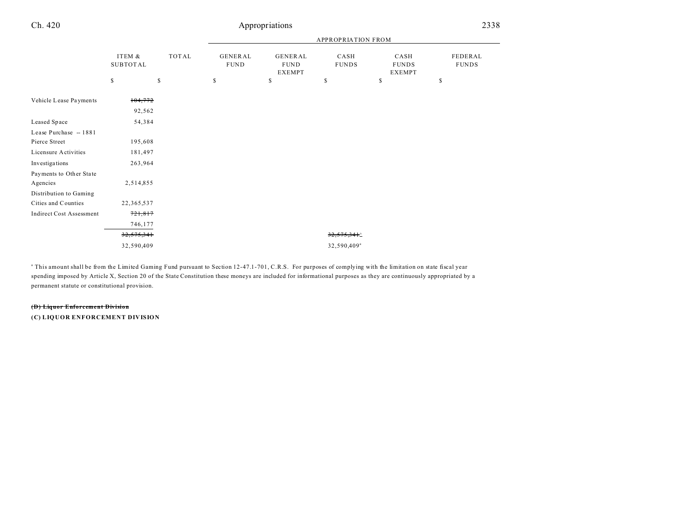| Ch. 420                         |                           |             |                               | Appropriations                   |                      |                                       | 2338                    |
|---------------------------------|---------------------------|-------------|-------------------------------|----------------------------------|----------------------|---------------------------------------|-------------------------|
|                                 |                           |             | <b>APPROPRIATION FROM</b>     |                                  |                      |                                       |                         |
|                                 | ITEM &<br><b>SUBTOTAL</b> | TOTAL       | <b>GENERAL</b><br><b>FUND</b> | GENERAL<br><b>FUND</b><br>EXEMPT | CASH<br><b>FUNDS</b> | CASH<br><b>FUNDS</b><br><b>EXEMPT</b> | FEDERAL<br><b>FUNDS</b> |
|                                 | \$                        | $\mathbb S$ | \$                            | \$                               | \$                   | \$                                    | \$                      |
| Vehicle Lease Payments          | 104,772                   |             |                               |                                  |                      |                                       |                         |
|                                 | 92,562                    |             |                               |                                  |                      |                                       |                         |
| Leased Space                    | 54,384                    |             |                               |                                  |                      |                                       |                         |
| Lease Purchase - 1881           |                           |             |                               |                                  |                      |                                       |                         |
| Pierce Street                   | 195,608                   |             |                               |                                  |                      |                                       |                         |
| Licensure Activities            | 181,497                   |             |                               |                                  |                      |                                       |                         |
| Investigations                  | 263,964                   |             |                               |                                  |                      |                                       |                         |
| Payments to Other State         |                           |             |                               |                                  |                      |                                       |                         |
| Agencies                        | 2,514,855                 |             |                               |                                  |                      |                                       |                         |
| Distribution to Gaming          |                           |             |                               |                                  |                      |                                       |                         |
| Cities and Counties             | 22, 365, 537              |             |                               |                                  |                      |                                       |                         |
| <b>Indirect Cost Assessment</b> | 721,817                   |             |                               |                                  |                      |                                       |                         |
|                                 | 746,177                   |             |                               |                                  |                      |                                       |                         |
|                                 | 32,575,341                |             |                               |                                  | $32.575.341^{\circ}$ |                                       |                         |

<sup>a</sup> This amount shall be from the Limited Gaming Fund pursuant to Section 12-47.1-701, C.R.S. For purposes of complying with the limitation on state fiscal year spending imposed by Article X, Section 20 of the State Constitution these moneys are included for informational purposes as they are continuously appropriated by a permanent statute or constitutional provision.

32,590,409<sup>a</sup> 32,590,409<sup>a</sup>

#### **(D) Liquor Enforcement Division**

**(C) LIQUOR ENFORCEMENT DIVISION**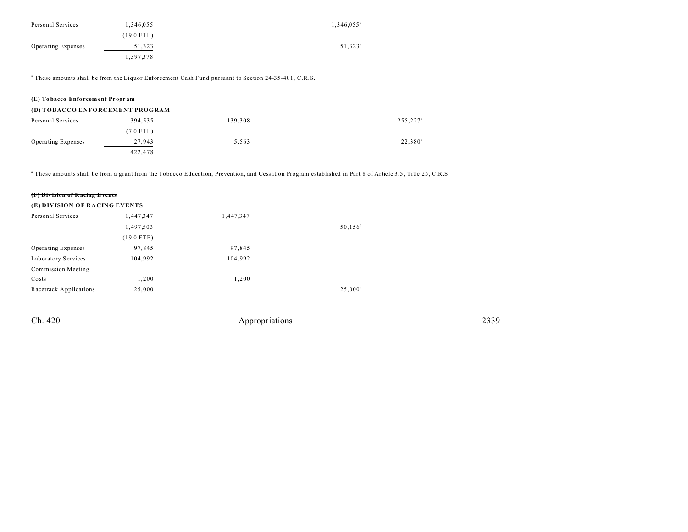| Personal Services         | 1,346,055    | $1,346,055^{\circ}$ |
|---------------------------|--------------|---------------------|
|                           | $(19.0$ FTE) |                     |
| <b>Operating Expenses</b> | 51,323       | $51,323^{\circ}$    |
|                           | 1,397,378    |                     |

a These amounts shall be from the Liquor Enforcement Cash Fund pursuant to Section 24-35-401, C.R.S.

| (E) Tobacco Enforcement Program |             |         |                      |  |  |  |
|---------------------------------|-------------|---------|----------------------|--|--|--|
| (D) TOBACCO ENFORCEMENT PROGRAM |             |         |                      |  |  |  |
| Personal Services               | 394.535     | 139.308 | 255,227 <sup>a</sup> |  |  |  |
|                                 | $(7.0$ FTE) |         |                      |  |  |  |
| <b>Operating Expenses</b>       | 27,943      | 5.563   | $22,380^{\circ}$     |  |  |  |
|                                 | 422.478     |         |                      |  |  |  |

a These amounts shall be from a grant from the Tobacco Education, Prevention, and Cessation Program established in Part 8 of Article 3.5, Title 25, C.R.S.

### **(F) Div ision of R acing Events**

| (E) DIVISION OF RACING EVENTS |              |           |                   |  |
|-------------------------------|--------------|-----------|-------------------|--|
| Personal Services             | 1,447,347    | 1,447,347 |                   |  |
|                               | 1,497,503    |           | $50, 156^{\circ}$ |  |
|                               | $(19.0$ FTE) |           |                   |  |
| Operating Expenses            | 97,845       | 97,845    |                   |  |
| Laboratory Services           | 104,992      | 104,992   |                   |  |
| Commission Meeting            |              |           |                   |  |
| Costs                         | 1,200        | 1,200     |                   |  |
| Racetrack Applications        | 25,000       |           | $25,000^{\circ}$  |  |
|                               |              |           |                   |  |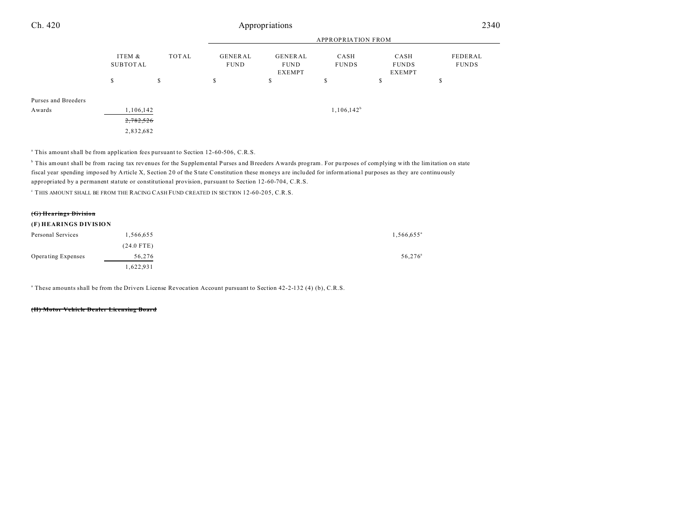| Ch. 420             |                                    |                           |                        | Appropriations                          |                      |                                       | 2340                    |  |  |
|---------------------|------------------------------------|---------------------------|------------------------|-----------------------------------------|----------------------|---------------------------------------|-------------------------|--|--|
|                     |                                    | <b>APPROPRIATION FROM</b> |                        |                                         |                      |                                       |                         |  |  |
|                     | TOTAL<br>ITEM &<br><b>SUBTOTAL</b> |                           | GENERAL<br><b>FUND</b> | GENERAL<br><b>FUND</b><br><b>EXEMPT</b> | CASH<br><b>FUNDS</b> | CASH<br><b>FUNDS</b><br><b>EXEMPT</b> | FEDERAL<br><b>FUNDS</b> |  |  |
|                     | S                                  | $\mathbb{S}$              | S.                     | \$                                      | c<br>ъ               | S                                     | ø<br>ъ                  |  |  |
| Purses and Breeders |                                    |                           |                        |                                         |                      |                                       |                         |  |  |
| Awards              | 1,106,142<br>2,782,526             |                           |                        |                                         | $1,106,142^b$        |                                       |                         |  |  |
|                     | 2,832,682                          |                           |                        |                                         |                      |                                       |                         |  |  |

<sup>a</sup> This amount shall be from application fees pursuant to Section 12-60-506, C.R.S.

b This amount shall be from racing tax revenues for the Su pplemental Purses and Breeders Awards program. For pu rposes of complying with the limitation on state fiscal year spending imposed by Article X, Section 20 of the State Constitution these moneys a re included for informationa l purposes as they are continuously appropriated by a permanent statute or constitutional provision, pursuant to Section 12-60-704, C.R.S.

c THIS AMOUNT SHALL BE FROM THE RACING CASH FUND CREATED IN SECTION 12-60-205, C.R.S.

#### **(G) Hearings Division**

#### **(F) HEARINGS DIVISION**

| Personal Services  | 1,566,655    | $1,566,655$ <sup>a</sup> |
|--------------------|--------------|--------------------------|
|                    | $(24.0$ FTE) |                          |
| Operating Expenses | 56,276       | 56,276 <sup>a</sup>      |
|                    | 1,622,931    |                          |

a These amounts shall be from the Drivers License Revocation Account pursuant to Section 42-2-132 (4) (b), C.R.S.

#### **(H) Motor Vehicle Dealer Licensing Board**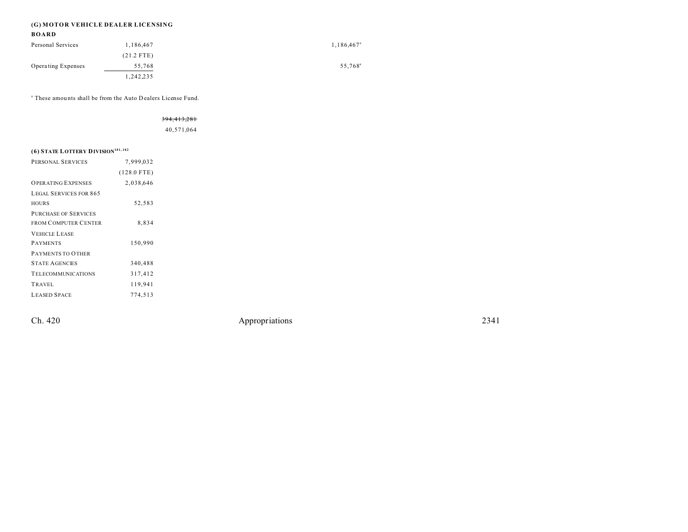# **(G) MOTOR VEHICLE DEALER LICENSING**

# **BOARD**

| Personal Services  | 1,186,467    | $1,186,467^{\circ}$ |
|--------------------|--------------|---------------------|
|                    | $(21.2$ FTE) |                     |
| Operating Expenses | 55,768       | 55,768 <sup>a</sup> |
|                    | 1,242,235    |                     |

a These amou nts shall be from the Auto Dealers License Fund.

## 394,413,281

40,571,064

# **(6) STATE LOTTERY DIVISION181, <sup>182</sup>**

| PERSONAL SERVICES             | 7,999,032     |  |
|-------------------------------|---------------|--|
|                               | $(128.0$ FTE) |  |
| <b>OPER ATING EXPENSES</b>    | 2,038,646     |  |
| <b>LEGAL SERVICES FOR 865</b> |               |  |
| <b>HOURS</b>                  | 52,583        |  |
| <b>PURCHASE OF SERVICES</b>   |               |  |
| <b>FROM COMPUTER CENTER</b>   | 8.834         |  |
| <b>VEHICLE LEASE</b>          |               |  |
| <b>PAYMENTS</b>               | 150,990       |  |
| <b>PAYMENTS TO OTHER</b>      |               |  |
| <b>STATE AGENCIES</b>         | 340.488       |  |
| <b>TELECOMMUNICATIONS</b>     | 317,412       |  |
| TRAVEL                        | 119,941       |  |
| <b>LEASED SPACE</b>           | 774,513       |  |
|                               |               |  |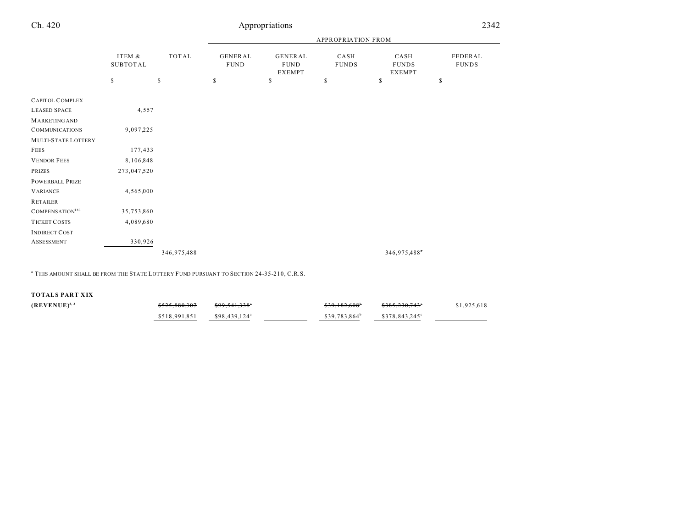| Ch. 420 | Appropriations |
|---------|----------------|
|         |                |

|                             | ITEM &<br><b>SUBTOTAL</b> | TOTAL       | <b>APPROPRIATION FROM</b> |                                                |                      |                                       |                         |
|-----------------------------|---------------------------|-------------|---------------------------|------------------------------------------------|----------------------|---------------------------------------|-------------------------|
|                             |                           |             | GENERAL<br><b>FUND</b>    | <b>GENERAL</b><br><b>FUND</b><br><b>EXEMPT</b> | CASH<br><b>FUNDS</b> | CASH<br><b>FUNDS</b><br><b>EXEMPT</b> | FEDERAL<br><b>FUNDS</b> |
|                             | \$                        | \$          | \$                        | \$                                             | \$                   | \$                                    | $\mathbb S$             |
| <b>CAPITOL COMPLEX</b>      |                           |             |                           |                                                |                      |                                       |                         |
| <b>LEASED SPACE</b>         | 4,557                     |             |                           |                                                |                      |                                       |                         |
| <b>MARKETING AND</b>        |                           |             |                           |                                                |                      |                                       |                         |
| <b>COMMUNICATIONS</b>       | 9,097,225                 |             |                           |                                                |                      |                                       |                         |
| MULTI-STATE LOTTERY         |                           |             |                           |                                                |                      |                                       |                         |
| <b>FEES</b>                 | 177,433                   |             |                           |                                                |                      |                                       |                         |
| <b>VENDOR FEES</b>          | 8,106,848                 |             |                           |                                                |                      |                                       |                         |
| PRIZES                      | 273,047,520               |             |                           |                                                |                      |                                       |                         |
| <b>POWERBALL PRIZE</b>      |                           |             |                           |                                                |                      |                                       |                         |
| <b>VARIANCE</b>             | 4,565,000                 |             |                           |                                                |                      |                                       |                         |
| <b>RETAILER</b>             |                           |             |                           |                                                |                      |                                       |                         |
| COMPENSATION <sup>183</sup> | 35,753,860                |             |                           |                                                |                      |                                       |                         |
| <b>TICKET COSTS</b>         | 4,089,680                 |             |                           |                                                |                      |                                       |                         |
| <b>INDIRECT COST</b>        |                           |             |                           |                                                |                      |                                       |                         |
| <b>ASSESSMENT</b>           | 330,926                   |             |                           |                                                |                      |                                       |                         |
|                             |                           | 346,975,488 |                           |                                                |                      | 346,975,488                           |                         |

a THIS AMOUNT SHALL BE FROM THE STATE LOTTERY FUND PURSUANT TO SECTION 24-35-210, C.R.S.

**TOTALS PART XIX**

| $(REVENUE)^{2,3}$ | \$525.880.307 | \$99.541.338"             | \$39,182,608 <sup>*</sup> | <del>\$385.230.743</del> ° | \$1,925,618 |
|-------------------|---------------|---------------------------|---------------------------|----------------------------|-------------|
|                   | \$518,991.851 | \$98,439,124 <sup>a</sup> | $$39.783.864^b$           | \$378,843,245°             |             |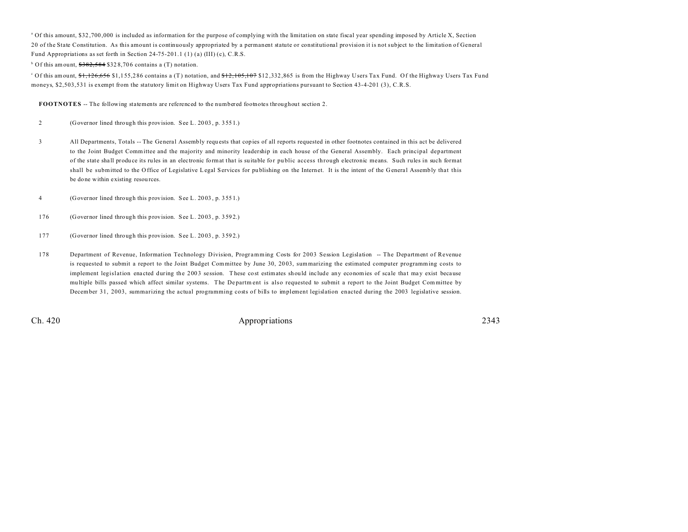<sup>a</sup> Of this amount, \$32,700,000 is included as information for the purpose of complying with the limitation on state fiscal year spending imposed by Article X, Section 20 of the State Constitution. As this amount is continuously appropriated by a permanent statute or constitutional provision it is not subject to the limitation of General Fund Appropriations as set forth in Section 24-75-201.1 (1) (a) (III) (c), C.R.S.

 $b$  Of this amount,  $$382,584$  \$328,706 contains a (T) notation.

Of this amount, \$1,126,656 \$1,155,286 contains a (T) notation, and <del>\$12,105,107</del> \$12,332,865 is from the Highway Users Tax Fund. Of the Highway Users Tax Fund moneys, \$2,503,531 is exempt from the statutory limit on Highway Users Tax Fund appropriations pursuant to Section 43-4-201 (3), C.R.S.

**FOOTNOTES** -- The following statements are referenced to the numbered footnotes throughout section 2.

2 (Governor lined through this provision. See L. 20 03 , p. 355 1.)

- 3 All Departments, Totals -- The General Assembly requ ests that copies of all reports requested in other footnotes contained in this act be delivered to the Joint Budget Committee and the majority and minority leadership in each house of the General Assembly. Each principal department of the state sha ll produ ce its rules in an electronic format that is su itable for pu blic access th rough electronic means. Such rules in such format shall be submitted to the O ffice of Legislative Legal Services for pu blishing on the Internet. It is the intent of the G eneral Assembly that this be done within existing resou rces.
- 4 (Governor lined through this provision. See L. 20 03 , p. 355 1.)
- 176 (Governor lined through this provision. See L. 20 03 , p. 359 2.)
- 177 (Governor lined through this provision. See L. 20 03 , p. 359 2.)
- 178 Department of Revenue, Information Technology Division, Programming Costs for 2003 Session Legislation -- The Department of Revenue is requested to submit a report to the Joint Budget Committee by June 30, 2003, summarizing the estimated computer programming costs to implement legislation enacted during the 2003 session. These cost estimates should include any economies of scale that may exist because mu ltiple bills passed which affect similar systems. The De partm ent is also requested to submit a report to the Joint Budget Committee by December 31, 2003, summarizing the actual programming costs of bills to implement legislation enacted during the 2003 legislative session.